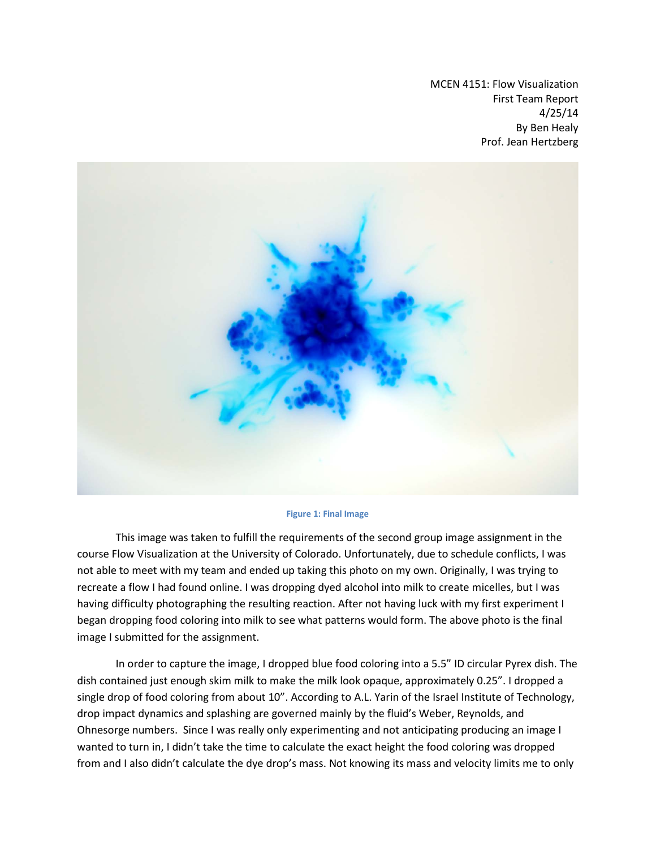MCEN 4151: Flow Visualization First Team Report 4/25/14 By Ben Healy Prof. Jean Hertzberg



## **Figure 1: Final Image**

This image was taken to fulfill the requirements of the second group image assignment in the course Flow Visualization at the University of Colorado. Unfortunately, due to schedule conflicts, I was not able to meet with my team and ended up taking this photo on my own. Originally, I was trying to recreate a flow I had found online. I was dropping dyed alcohol into milk to create micelles, but I was having difficulty photographing the resulting reaction. After not having luck with my first experiment I began dropping food coloring into milk to see what patterns would form. The above photo is the final image I submitted for the assignment.

In order to capture the image, I dropped blue food coloring into a 5.5" ID circular Pyrex dish. The dish contained just enough skim milk to make the milk look opaque, approximately 0.25". I dropped a single drop of food coloring from about 10". According to A.L. Yarin of the Israel Institute of Technology, drop impact dynamics and splashing are governed mainly by the fluid's Weber, Reynolds, and Ohnesorge numbers. Since I was really only experimenting and not anticipating producing an image I wanted to turn in, I didn't take the time to calculate the exact height the food coloring was dropped from and I also didn't calculate the dye drop's mass. Not knowing its mass and velocity limits me to only